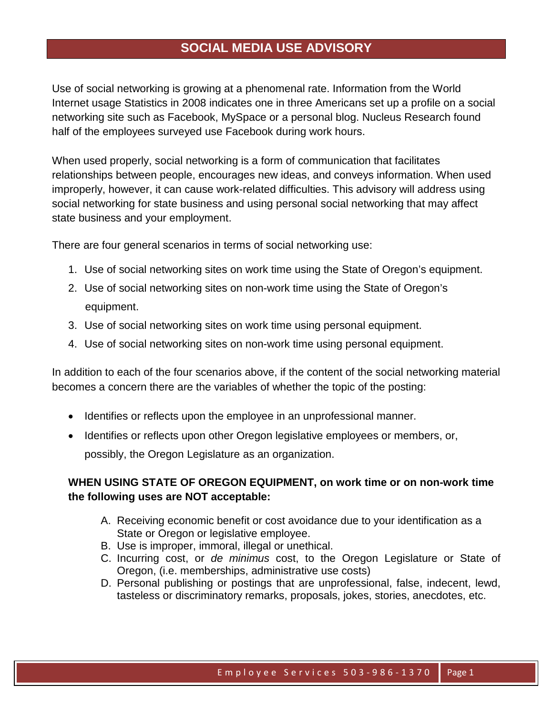## **SOCIAL MEDIA USE ADVISORY**

Use of social networking is growing at a phenomenal rate. Information from the World Internet usage Statistics in 2008 indicates one in three Americans set up a profile on a social networking site such as Facebook, MySpace or a personal blog. Nucleus Research found half of the employees surveyed use Facebook during work hours.

When used properly, social networking is a form of communication that facilitates relationships between people, encourages new ideas, and conveys information. When used improperly, however, it can cause work-related difficulties. This advisory will address using social networking for state business and using personal social networking that may affect state business and your employment.

There are four general scenarios in terms of social networking use:

- 1. Use of social networking sites on work time using the State of Oregon's equipment.
- 2. Use of social networking sites on non-work time using the State of Oregon's equipment.
- 3. Use of social networking sites on work time using personal equipment.
- 4. Use of social networking sites on non-work time using personal equipment.

In addition to each of the four scenarios above, if the content of the social networking material becomes a concern there are the variables of whether the topic of the posting:

- Identifies or reflects upon the employee in an unprofessional manner.
- Identifies or reflects upon other Oregon legislative employees or members, or, possibly, the Oregon Legislature as an organization.

## **WHEN USING STATE OF OREGON EQUIPMENT, on work time or on non-work time the following uses are NOT acceptable:**

- A. Receiving economic benefit or cost avoidance due to your identification as a State or Oregon or legislative employee.
- B. Use is improper, immoral, illegal or unethical.
- C. Incurring cost, or *de minimus* cost, to the Oregon Legislature or State of Oregon, (i.e. memberships, administrative use costs)
- D. Personal publishing or postings that are unprofessional, false, indecent, lewd, tasteless or discriminatory remarks, proposals, jokes, stories, anecdotes, etc.